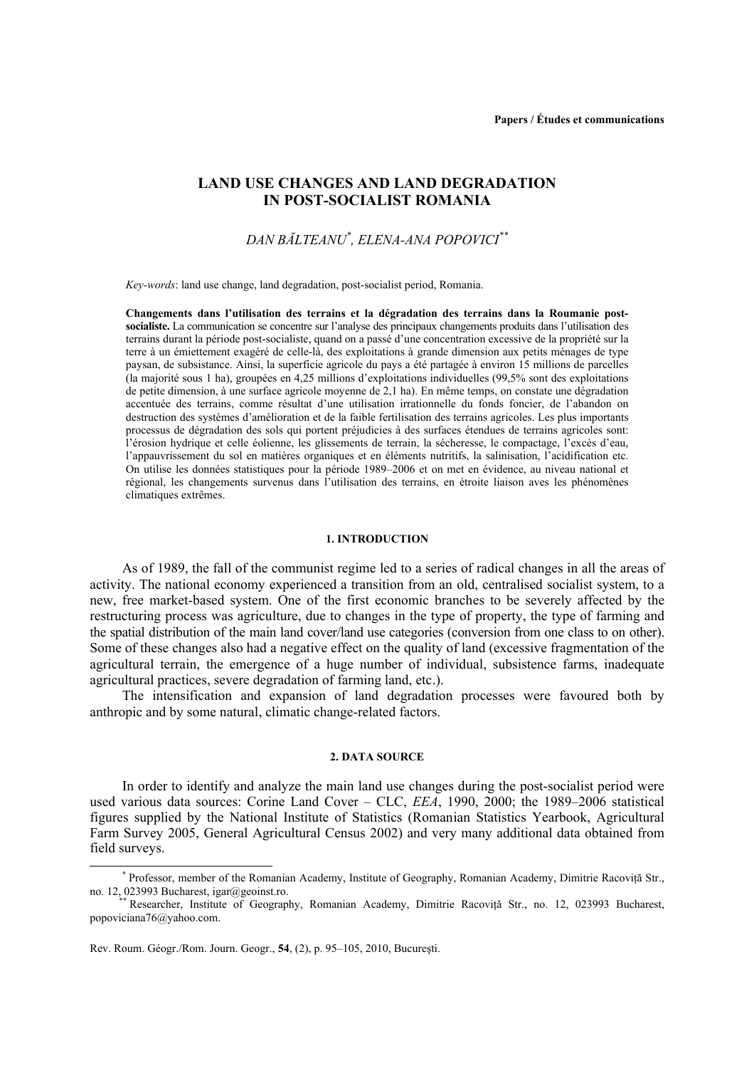# **LAND USE CHANGES AND LAND DEGRADATION IN POST-SOCIALIST ROMANIA**

# *DAN BĂLTEANU\* , ELENA-ANA POPOVICI\*\**

*Key-words*: land use change, land degradation, post-socialist period, Romania.

**Changements dans l'utilisation des terrains et la dégradation des terrains dans la Roumanie postsocialiste.** La communication se concentre sur l'analyse des principaux changements produits dans l'utilisation des terrains durant la période post-socialiste, quand on a passé d'une concentration excessive de la propriété sur la terre à un émiettement exagéré de celle-là, des exploitations à grande dimension aux petits ménages de type paysan, de subsistance. Ainsi, la superficie agricole du pays a été partagée à environ 15 millions de parcelles (la majorité sous 1 ha), groupées en 4,25 millions d'exploitations individuelles (99,5% sont des exploitations de petite dimension, à une surface agricole moyenne de 2,1 ha). En même temps, on constate une dégradation accentuée des terrains, comme résultat d'une utilisation irrationnelle du fonds foncier, de l'abandon on destruction des systèmes d'amélioration et de la faible fertilisation des terrains agricoles. Les plus importants processus de dégradation des sols qui portent préjudicies à des surfaces étendues de terrains agricoles sont: l'érosion hydrique et celle éolienne, les glissements de terrain, la sécheresse, le compactage, l'excès d'eau, l'appauvrissement du sol en matières organiques et en éléments nutritifs, la salinisation, l'acidification etc. On utilise les données statistiques pour la période 1989–2006 et on met en évidence, au niveau national et régional, les changements survenus dans l'utilisation des terrains, en étroite liaison aves les phénomènes climatiques extrêmes.

#### **1. INTRODUCTION**

As of 1989, the fall of the communist regime led to a series of radical changes in all the areas of activity. The national economy experienced a transition from an old, centralised socialist system, to a new, free market-based system. One of the first economic branches to be severely affected by the restructuring process was agriculture, due to changes in the type of property, the type of farming and the spatial distribution of the main land cover/land use categories (conversion from one class to on other). Some of these changes also had a negative effect on the quality of land (excessive fragmentation of the agricultural terrain, the emergence of a huge number of individual, subsistence farms, inadequate agricultural practices, severe degradation of farming land, etc.).

The intensification and expansion of land degradation processes were favoured both by anthropic and by some natural, climatic change-related factors.

## **2. DATA SOURCE**

In order to identify and analyze the main land use changes during the post-socialist period were used various data sources: Corine Land Cover – CLC, *EEA*, 1990, 2000; the 1989–2006 statistical figures supplied by the National Institute of Statistics (Romanian Statistics Yearbook, Agricultural Farm Survey 2005, General Agricultural Census 2002) and very many additional data obtained from field surveys.

 <sup>\*</sup> Professor, member of the Romanian Academy, Institute of Geography, Romanian Academy, Dimitrie Racoviţă Str.,

Researcher, Institute of Geography, Romanian Academy, Dimitrie Racovită Str., no. 12, 023993 Bucharest, popoviciana76@yahoo.com.

Rev. Roum. Géogr./Rom. Journ. Geogr., **54**, (2), p. 95–105, 2010, Bucureşti.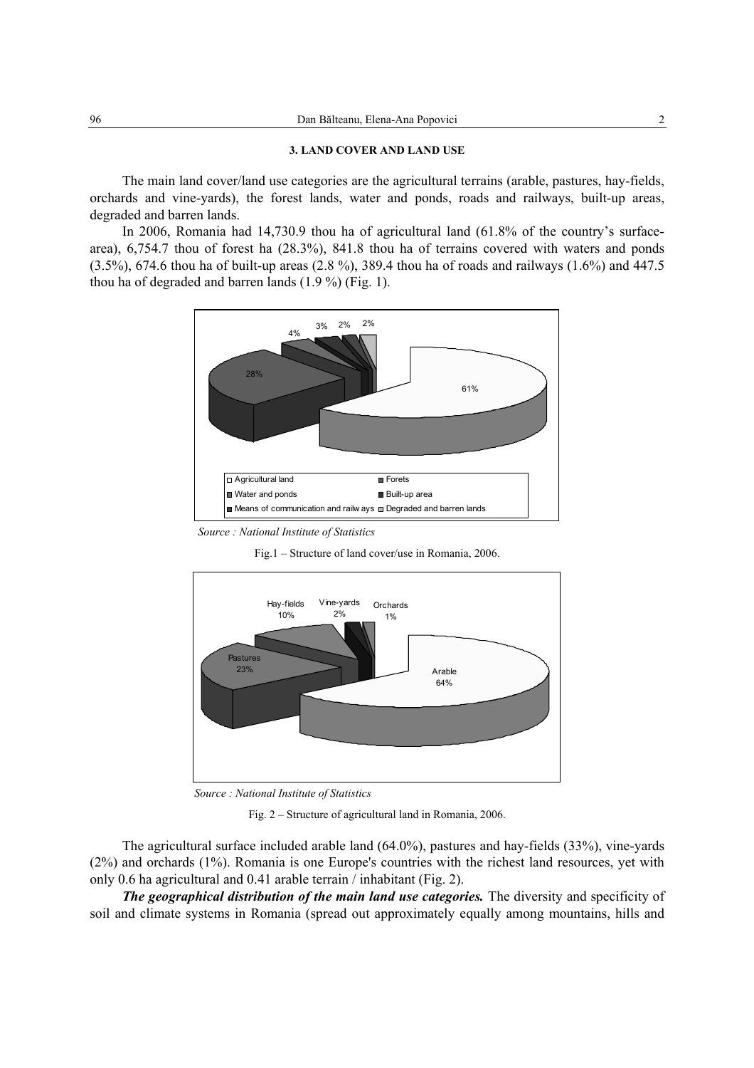#### **3. LAND COVER AND LAND USE**

The main land cover/land use categories are the agricultural terrains (arable, pastures, hay-fields, orchards and vine-yards), the forest lands, water and ponds, roads and railways, built-up areas, degraded and barren lands.

In 2006, Romania had 14,730.9 thou ha of agricultural land (61.8% of the country's surfacearea), 6,754.7 thou of forest ha (28.3%), 841.8 thou ha of terrains covered with waters and ponds (3.5%), 674.6 thou ha of built-up areas (2.8 %), 389.4 thou ha of roads and railways (1.6%) and 447.5 thou ha of degraded and barren lands (1.9 %) (Fig. 1).



*Source : National Institute of Statistics* 

Fig.1 – Structure of land cover/use in Romania, 2006.



*Source : National Institute of Statistics* 

Fig. 2 – Structure of agricultural land in Romania, 2006.

The agricultural surface included arable land (64.0%), pastures and hay-fields (33%), vine-yards (2%) and orchards (1%). Romania is one Europe's countries with the richest land resources, yet with only 0.6 ha agricultural and 0.41 arable terrain / inhabitant (Fig. 2).

*The geographical distribution of the main land use categories. The diversity and specificity of* soil and climate systems in Romania (spread out approximately equally among mountains, hills and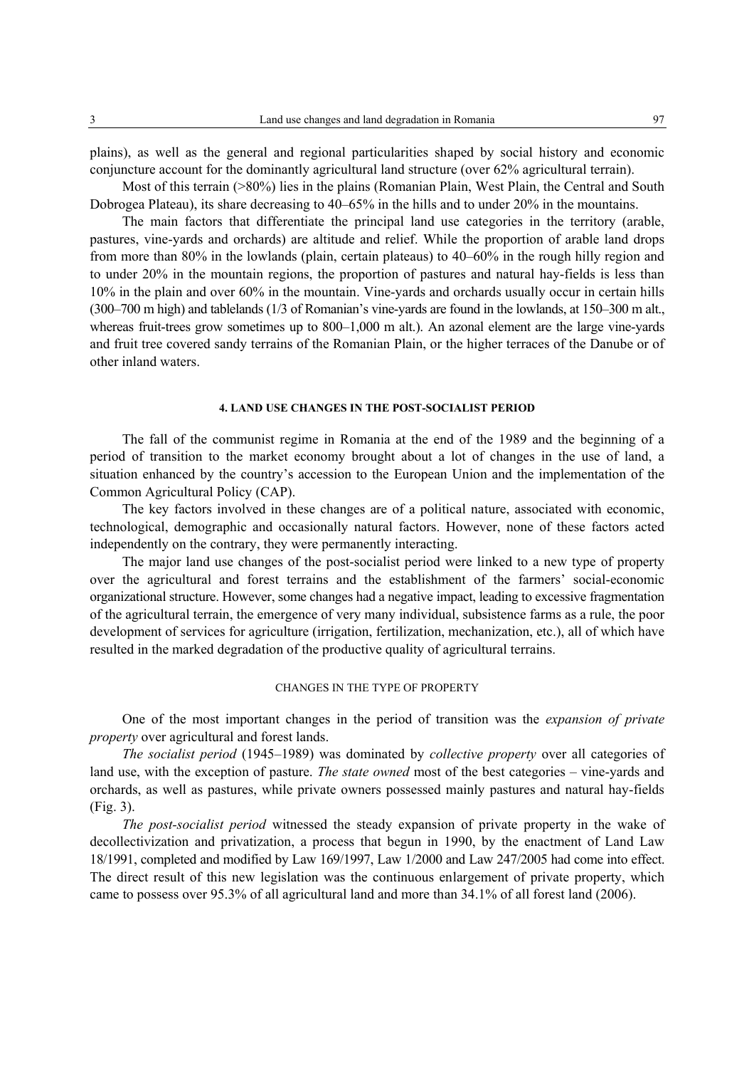plains), as well as the general and regional particularities shaped by social history and economic conjuncture account for the dominantly agricultural land structure (over 62% agricultural terrain).

Most of this terrain (>80%) lies in the plains (Romanian Plain, West Plain, the Central and South Dobrogea Plateau), its share decreasing to 40–65% in the hills and to under 20% in the mountains.

The main factors that differentiate the principal land use categories in the territory (arable, pastures, vine-yards and orchards) are altitude and relief. While the proportion of arable land drops from more than 80% in the lowlands (plain, certain plateaus) to 40–60% in the rough hilly region and to under 20% in the mountain regions, the proportion of pastures and natural hay-fields is less than 10% in the plain and over 60% in the mountain. Vine-yards and orchards usually occur in certain hills (300–700 m high) and tablelands (1/3 of Romanian's vine-yards are found in the lowlands, at 150–300 m alt., whereas fruit-trees grow sometimes up to 800–1,000 m alt.). An azonal element are the large vine-yards and fruit tree covered sandy terrains of the Romanian Plain, or the higher terraces of the Danube or of other inland waters.

### **4. LAND USE CHANGES IN THE POST-SOCIALIST PERIOD**

The fall of the communist regime in Romania at the end of the 1989 and the beginning of a period of transition to the market economy brought about a lot of changes in the use of land, a situation enhanced by the country's accession to the European Union and the implementation of the Common Agricultural Policy (CAP).

The key factors involved in these changes are of a political nature, associated with economic, technological, demographic and occasionally natural factors. However, none of these factors acted independently on the contrary, they were permanently interacting.

The major land use changes of the post-socialist period were linked to a new type of property over the agricultural and forest terrains and the establishment of the farmers' social-economic organizational structure. However, some changes had a negative impact, leading to excessive fragmentation of the agricultural terrain, the emergence of very many individual, subsistence farms as a rule, the poor development of services for agriculture (irrigation, fertilization, mechanization, etc.), all of which have resulted in the marked degradation of the productive quality of agricultural terrains.

## CHANGES IN THE TYPE OF PROPERTY

One of the most important changes in the period of transition was the *expansion of private property* over agricultural and forest lands.

*The socialist period* (1945–1989) was dominated by *collective property* over all categories of land use, with the exception of pasture. *The state owned* most of the best categories – vine-yards and orchards, as well as pastures, while private owners possessed mainly pastures and natural hay-fields (Fig. 3).

*The post-socialist period* witnessed the steady expansion of private property in the wake of decollectivization and privatization, a process that begun in 1990, by the enactment of Land Law 18/1991, completed and modified by Law 169/1997, Law 1/2000 and Law 247/2005 had come into effect. The direct result of this new legislation was the continuous enlargement of private property, which came to possess over 95.3% of all agricultural land and more than 34.1% of all forest land (2006).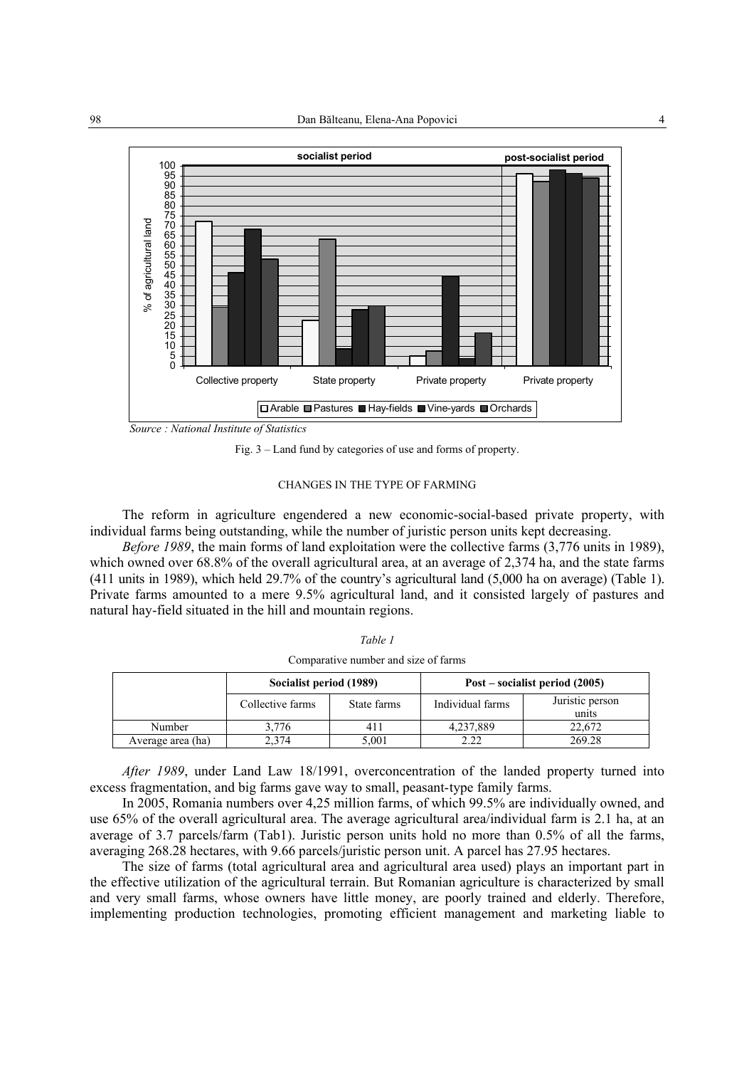

*Source : National Institute of Statistics* 

Fig. 3 – Land fund by categories of use and forms of property.

## CHANGES IN THE TYPE OF FARMING

The reform in agriculture engendered a new economic-social-based private property, with individual farms being outstanding, while the number of juristic person units kept decreasing.

*Before 1989*, the main forms of land exploitation were the collective farms (3,776 units in 1989), which owned over 68.8% of the overall agricultural area, at an average of 2,374 ha, and the state farms (411 units in 1989), which held 29.7% of the country's agricultural land (5,000 ha on average) (Table 1). Private farms amounted to a mere 9.5% agricultural land, and it consisted largely of pastures and natural hay-field situated in the hill and mountain regions.

|                   | Socialist period (1989) |             | $Post - socialist period (2005)$ |                          |  |
|-------------------|-------------------------|-------------|----------------------------------|--------------------------|--|
|                   | Collective farms        | State farms | Individual farms                 | Juristic person<br>units |  |
| Number            | 3.776                   | 411         | 4,237,889                        | 22.672                   |  |
| Average area (ha) | 2.374                   | 5,001       | 2.22                             | 269.28                   |  |

*Table 1*  Comparative number and size of farms

*After 1989*, under Land Law 18/1991, overconcentration of the landed property turned into excess fragmentation, and big farms gave way to small, peasant-type family farms.

In 2005, Romania numbers over 4,25 million farms, of which 99.5% are individually owned, and use 65% of the overall agricultural area. The average agricultural area/individual farm is 2.1 ha, at an average of 3.7 parcels/farm (Tab1). Juristic person units hold no more than 0.5% of all the farms, averaging 268.28 hectares, with 9.66 parcels/juristic person unit. A parcel has 27.95 hectares.

The size of farms (total agricultural area and agricultural area used) plays an important part in the effective utilization of the agricultural terrain. But Romanian agriculture is characterized by small and very small farms, whose owners have little money, are poorly trained and elderly. Therefore, implementing production technologies, promoting efficient management and marketing liable to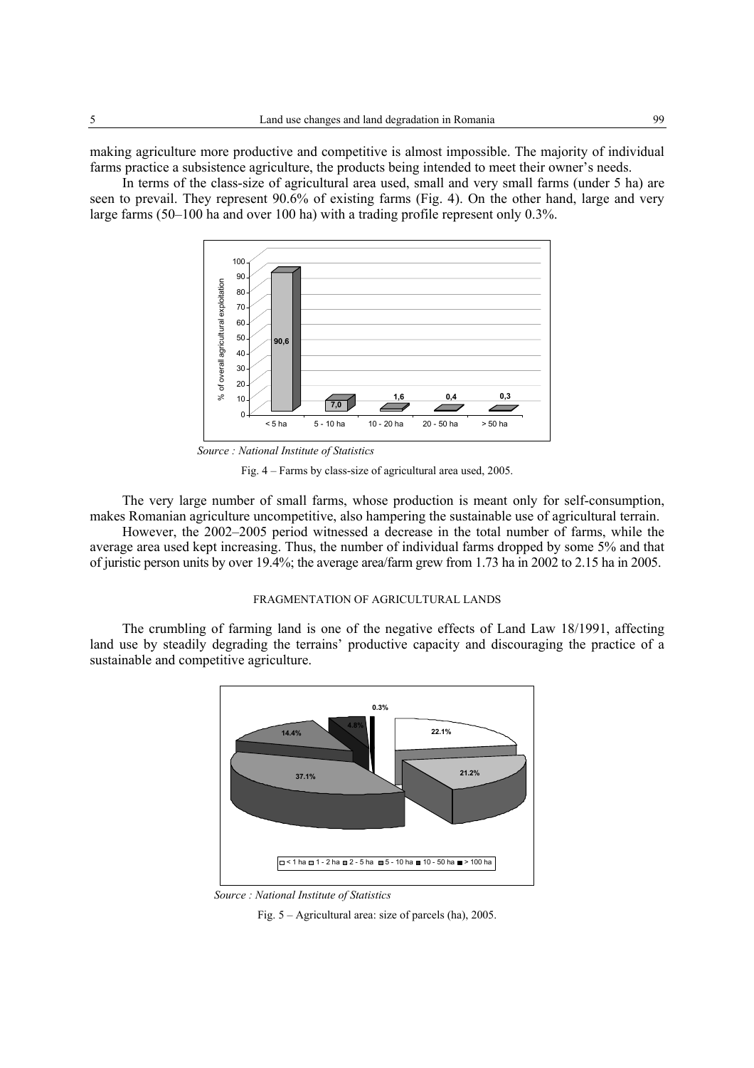making agriculture more productive and competitive is almost impossible. The majority of individual farms practice a subsistence agriculture, the products being intended to meet their owner's needs.

In terms of the class-size of agricultural area used, small and very small farms (under 5 ha) are seen to prevail. They represent 90.6% of existing farms (Fig. 4). On the other hand, large and very large farms (50–100 ha and over 100 ha) with a trading profile represent only 0.3%.



*Source : National Institute of Statistics* 

Fig. 4 – Farms by class-size of agricultural area used, 2005.

The very large number of small farms, whose production is meant only for self-consumption, makes Romanian agriculture uncompetitive, also hampering the sustainable use of agricultural terrain.

However, the 2002–2005 period witnessed a decrease in the total number of farms, while the average area used kept increasing. Thus, the number of individual farms dropped by some 5% and that of juristic person units by over 19.4%; the average area/farm grew from 1.73 ha in 2002 to 2.15 ha in 2005.

### FRAGMENTATION OF AGRICULTURAL LANDS

The crumbling of farming land is one of the negative effects of Land Law 18/1991, affecting land use by steadily degrading the terrains' productive capacity and discouraging the practice of a sustainable and competitive agriculture.



*Source : National Institute of Statistics* 

Fig. 5 – Agricultural area: size of parcels (ha), 2005.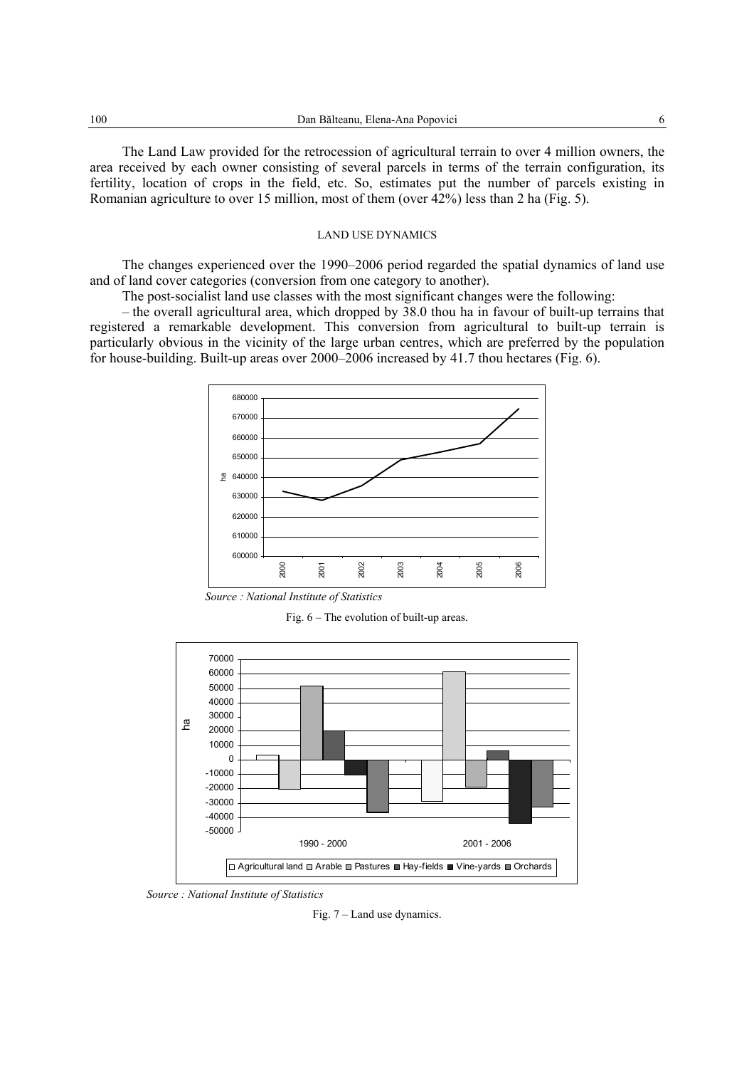The Land Law provided for the retrocession of agricultural terrain to over 4 million owners, the area received by each owner consisting of several parcels in terms of the terrain configuration, its fertility, location of crops in the field, etc. So, estimates put the number of parcels existing in Romanian agriculture to over 15 million, most of them (over 42%) less than 2 ha (Fig. 5).

#### LAND USE DYNAMICS

The changes experienced over the 1990–2006 period regarded the spatial dynamics of land use and of land cover categories (conversion from one category to another).

The post-socialist land use classes with the most significant changes were the following:

– the overall agricultural area, which dropped by 38.0 thou ha in favour of built-up terrains that registered a remarkable development. This conversion from agricultural to built-up terrain is particularly obvious in the vicinity of the large urban centres, which are preferred by the population for house-building. Built-up areas over 2000–2006 increased by 41.7 thou hectares (Fig. 6).



*Source : National Institute of Statistics* 

Fig. 6 – The evolution of built-up areas.



*Source : National Institute of Statistics* 

Fig. 7 – Land use dynamics.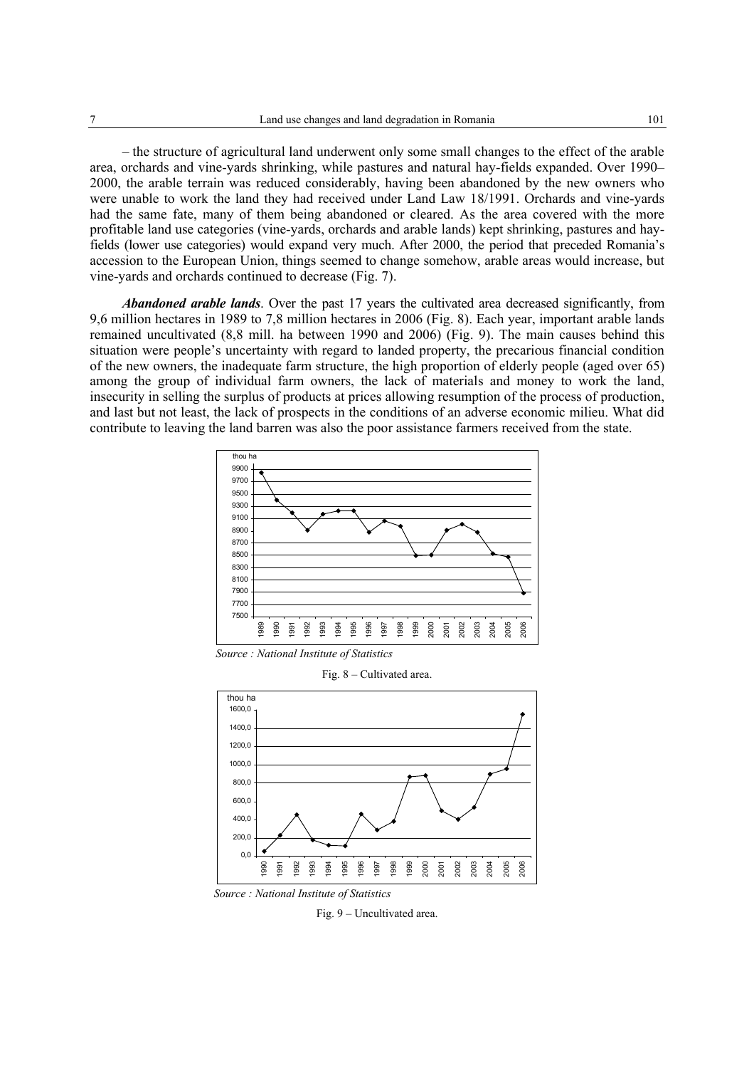– the structure of agricultural land underwent only some small changes to the effect of the arable area, orchards and vine-yards shrinking, while pastures and natural hay-fields expanded. Over 1990– 2000, the arable terrain was reduced considerably, having been abandoned by the new owners who were unable to work the land they had received under Land Law 18/1991. Orchards and vine-yards had the same fate, many of them being abandoned or cleared. As the area covered with the more profitable land use categories (vine-yards, orchards and arable lands) kept shrinking, pastures and hayfields (lower use categories) would expand very much. After 2000, the period that preceded Romania's accession to the European Union, things seemed to change somehow, arable areas would increase, but vine-yards and orchards continued to decrease (Fig. 7).

*Abandoned arable lands*. Over the past 17 years the cultivated area decreased significantly, from 9,6 million hectares in 1989 to 7,8 million hectares in 2006 (Fig. 8). Each year, important arable lands remained uncultivated (8,8 mill. ha between 1990 and 2006) (Fig. 9). The main causes behind this situation were people's uncertainty with regard to landed property, the precarious financial condition of the new owners, the inadequate farm structure, the high proportion of elderly people (aged over 65) among the group of individual farm owners, the lack of materials and money to work the land, insecurity in selling the surplus of products at prices allowing resumption of the process of production, and last but not least, the lack of prospects in the conditions of an adverse economic milieu. What did contribute to leaving the land barren was also the poor assistance farmers received from the state.



*Source : National Institute of Statistics* 

Fig. 8 – Cultivated area.



*Source : National Institute of Statistics* 

Fig. 9 – Uncultivated area.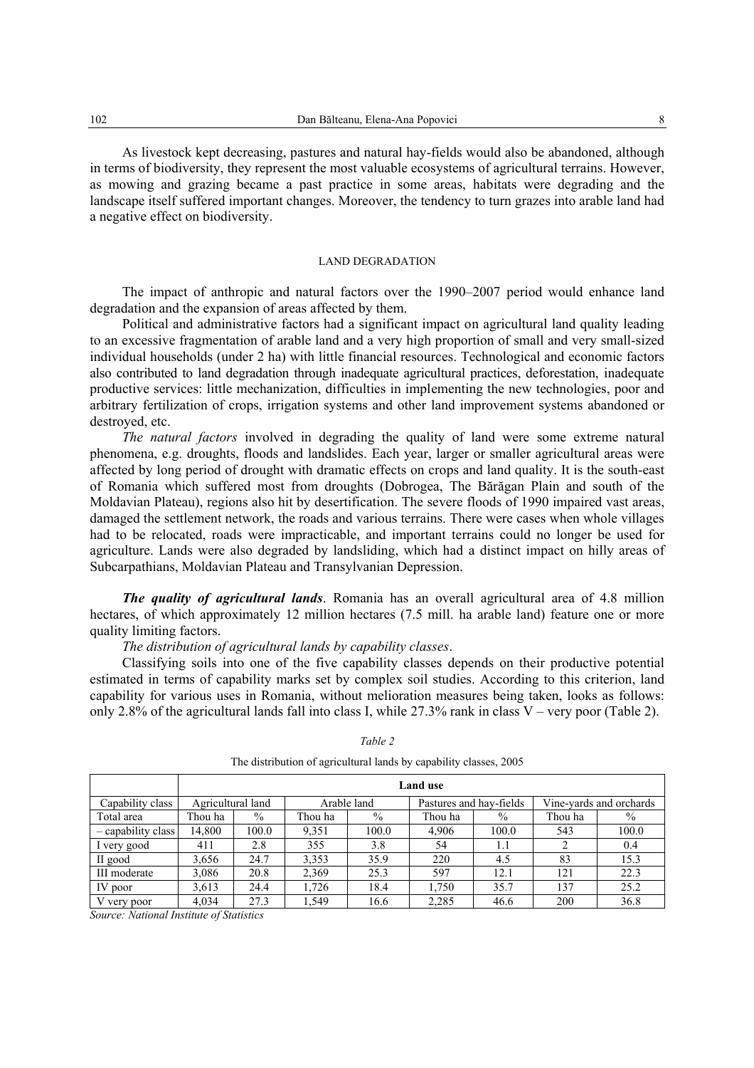As livestock kept decreasing, pastures and natural hay-fields would also be abandoned, although in terms of biodiversity, they represent the most valuable ecosystems of agricultural terrains. However, as mowing and grazing became a past practice in some areas, habitats were degrading and the landscape itself suffered important changes. Moreover, the tendency to turn grazes into arable land had a negative effect on biodiversity.

## LAND DEGRADATION

The impact of anthropic and natural factors over the 1990–2007 period would enhance land degradation and the expansion of areas affected by them.

Political and administrative factors had a significant impact on agricultural land quality leading to an excessive fragmentation of arable land and a very high proportion of small and very small-sized individual households (under 2 ha) with little financial resources. Technological and economic factors also contributed to land degradation through inadequate agricultural practices, deforestation, inadequate productive services: little mechanization, difficulties in implementing the new technologies, poor and arbitrary fertilization of crops, irrigation systems and other land improvement systems abandoned or destroyed, etc.

*The natural factors* involved in degrading the quality of land were some extreme natural phenomena, e.g. droughts, floods and landslides. Each year, larger or smaller agricultural areas were affected by long period of drought with dramatic effects on crops and land quality. It is the south-east of Romania which suffered most from droughts (Dobrogea, The Bărăgan Plain and south of the Moldavian Plateau), regions also hit by desertification. The severe floods of 1990 impaired vast areas, damaged the settlement network, the roads and various terrains. There were cases when whole villages had to be relocated, roads were impracticable, and important terrains could no longer be used for agriculture. Lands were also degraded by landsliding, which had a distinct impact on hilly areas of Subcarpathians, Moldavian Plateau and Transylvanian Depression.

*The quality of agricultural lands*. Romania has an overall agricultural area of 4.8 million hectares, of which approximately 12 million hectares (7.5 mill. ha arable land) feature one or more quality limiting factors.

*The distribution of agricultural lands by capability classes*.

Classifying soils into one of the five capability classes depends on their productive potential estimated in terms of capability marks set by complex soil studies. According to this criterion, land capability for various uses in Romania, without melioration measures being taken, looks as follows: only 2.8% of the agricultural lands fall into class I, while  $27.3\%$  rank in class V – very poor (Table 2).

|                    | <b>Land use</b>   |       |             |               |                         |       |                         |       |
|--------------------|-------------------|-------|-------------|---------------|-------------------------|-------|-------------------------|-------|
| Capability class   | Agricultural land |       | Arable land |               | Pastures and hay-fields |       | Vine-yards and orchards |       |
| Total area         | Thou ha           | $\%$  | Thou ha     | $\frac{0}{0}$ | Thou ha                 | $\%$  | Thou ha                 | $\%$  |
| - capability class | 14.800            | 100.0 | 9.351       | 100.0         | 4,906                   | 100.0 | 543                     | 100.0 |
| I very good        | 411               | 2.8   | 355         | 3.8           | 54                      | 1.1   |                         | 0.4   |
| II good            | 3,656             | 24.7  | 3,353       | 35.9          | 220                     | 4.5   | 83                      | 15.3  |
| III moderate       | 3,086             | 20.8  | 2,369       | 25.3          | 597                     | 12.1  | 121                     | 22.3  |
| IV poor            | 3,613             | 24.4  | 1,726       | 18.4          | 1,750                   | 35.7  | 137                     | 25.2  |
| V very poor        | 4,034             | 27.3  | 1.549       | 16.6          | 2,285                   | 46.6  | 200                     | 36.8  |

*Table 2* 

The distribution of agricultural lands by capability classes, 2005

*Source: National Institute of Statistics*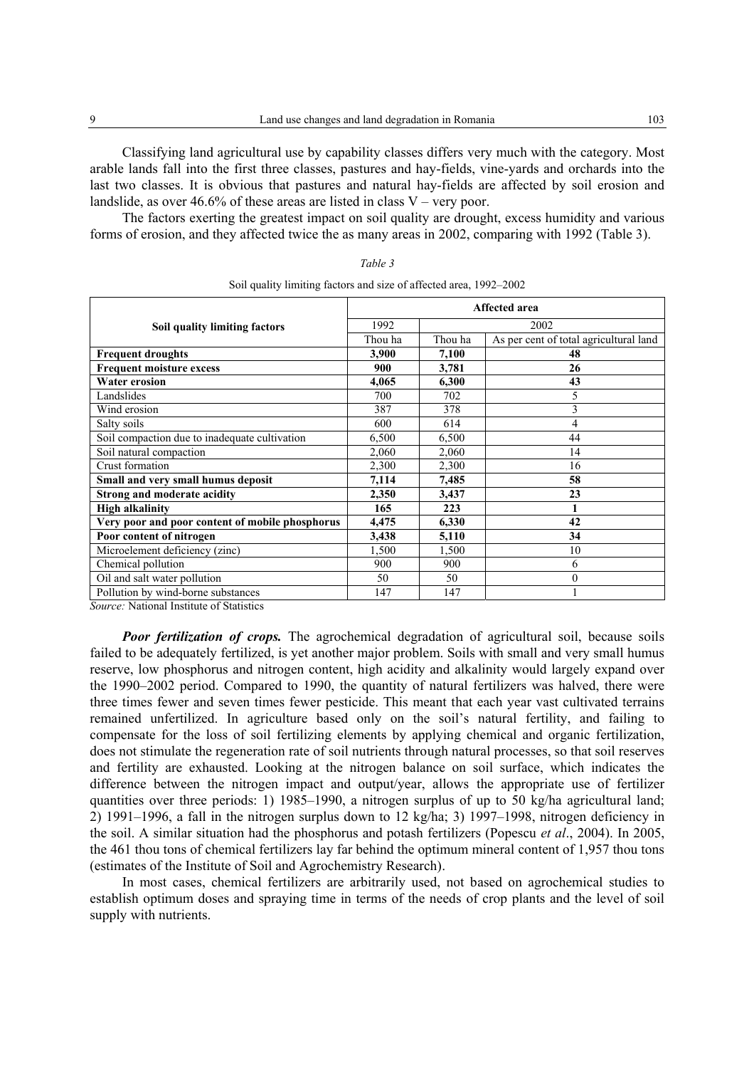Classifying land agricultural use by capability classes differs very much with the category. Most arable lands fall into the first three classes, pastures and hay-fields, vine-yards and orchards into the last two classes. It is obvious that pastures and natural hay-fields are affected by soil erosion and landslide, as over 46.6% of these areas are listed in class  $V$  – very poor.

The factors exerting the greatest impact on soil quality are drought, excess humidity and various forms of erosion, and they affected twice the as many areas in 2002, comparing with 1992 (Table 3).

|                                                                   | <b>Affected area</b> |         |                                        |  |  |
|-------------------------------------------------------------------|----------------------|---------|----------------------------------------|--|--|
| Soil quality limiting factors                                     | 1992                 | 2002    |                                        |  |  |
|                                                                   | Thou ha              | Thou ha | As per cent of total agricultural land |  |  |
| <b>Frequent droughts</b>                                          | 3,900                | 7,100   | 48                                     |  |  |
| <b>Frequent moisture excess</b>                                   | 900                  | 3,781   | 26                                     |  |  |
| <b>Water erosion</b>                                              | 4,065                | 6,300   | 43                                     |  |  |
| Landslides                                                        | 700                  | 702     |                                        |  |  |
| Wind erosion                                                      | 387                  | 378     | 3                                      |  |  |
| Salty soils                                                       | 600                  | 614     | 4                                      |  |  |
| Soil compaction due to inadequate cultivation                     | 6,500                | 6,500   | 44                                     |  |  |
| Soil natural compaction                                           | 2,060                | 2,060   | 14                                     |  |  |
| Crust formation                                                   | 2,300                | 2,300   | 16                                     |  |  |
| Small and very small humus deposit                                | 7,114                | 7,485   | 58                                     |  |  |
| <b>Strong and moderate acidity</b>                                | 2,350                | 3,437   | 23                                     |  |  |
| <b>High alkalinity</b>                                            | 165                  | 223     |                                        |  |  |
| Very poor and poor content of mobile phosphorus                   | 4,475                | 6,330   | 42                                     |  |  |
| Poor content of nitrogen                                          | 3,438                | 5,110   | 34                                     |  |  |
| Microelement deficiency (zinc)                                    | 1,500                | 1,500   | 10                                     |  |  |
| Chemical pollution                                                | 900                  | 900     | 6                                      |  |  |
| Oil and salt water pollution                                      | 50                   | 50      | $\theta$                               |  |  |
| Pollution by wind-borne substances<br>$\alpha$ are in the control | 147                  | 147     |                                        |  |  |

| Table 3                                                            |  |
|--------------------------------------------------------------------|--|
| Soil quality limiting factors and size of affected area, 1992–2002 |  |

*Source:* National Institute of Statistics

*Poor fertilization of crops.* The agrochemical degradation of agricultural soil, because soils failed to be adequately fertilized, is yet another major problem. Soils with small and very small humus reserve, low phosphorus and nitrogen content, high acidity and alkalinity would largely expand over the 1990–2002 period. Compared to 1990, the quantity of natural fertilizers was halved, there were three times fewer and seven times fewer pesticide. This meant that each year vast cultivated terrains remained unfertilized. In agriculture based only on the soil's natural fertility, and failing to compensate for the loss of soil fertilizing elements by applying chemical and organic fertilization, does not stimulate the regeneration rate of soil nutrients through natural processes, so that soil reserves and fertility are exhausted. Looking at the nitrogen balance on soil surface, which indicates the difference between the nitrogen impact and output/year, allows the appropriate use of fertilizer quantities over three periods: 1) 1985–1990, a nitrogen surplus of up to 50 kg/ha agricultural land; 2) 1991–1996, a fall in the nitrogen surplus down to 12 kg/ha; 3) 1997–1998, nitrogen deficiency in the soil. A similar situation had the phosphorus and potash fertilizers (Popescu *et al*., 2004). In 2005, the 461 thou tons of chemical fertilizers lay far behind the optimum mineral content of 1,957 thou tons (estimates of the Institute of Soil and Agrochemistry Research).

In most cases, chemical fertilizers are arbitrarily used, not based on agrochemical studies to establish optimum doses and spraying time in terms of the needs of crop plants and the level of soil supply with nutrients.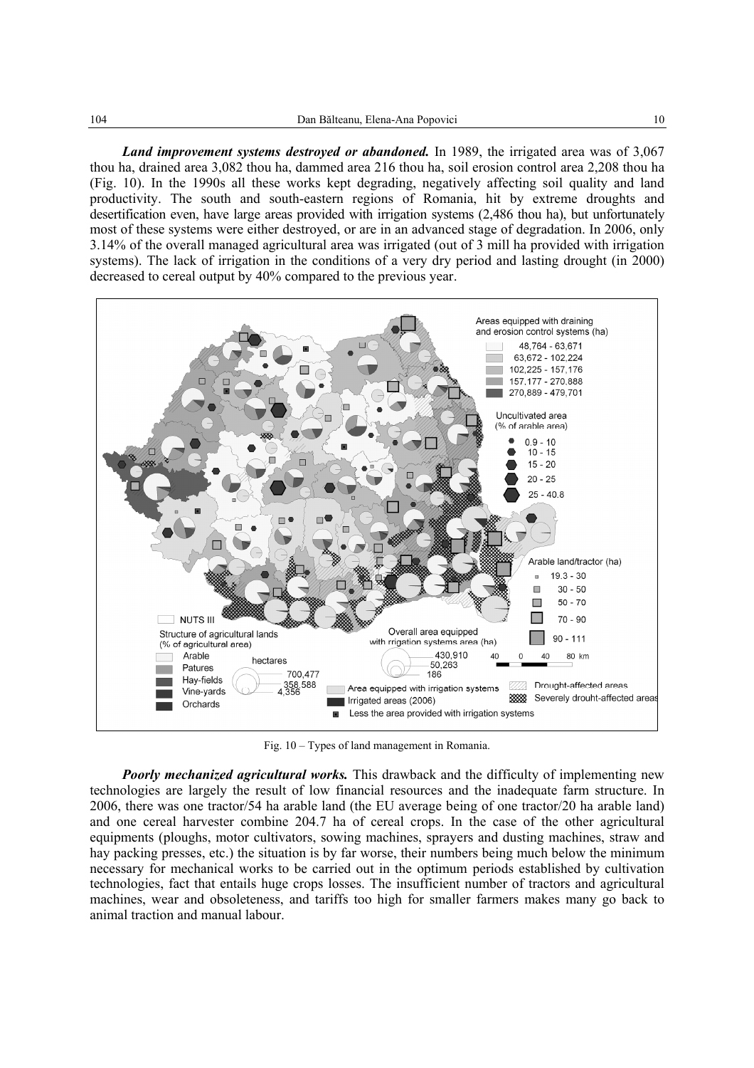*Land improvement systems destroyed or abandoned.* In 1989, the irrigated area was of 3,067 thou ha, drained area 3,082 thou ha, dammed area 216 thou ha, soil erosion control area 2,208 thou ha (Fig. 10). In the 1990s all these works kept degrading, negatively affecting soil quality and land productivity. The south and south-eastern regions of Romania, hit by extreme droughts and desertification even, have large areas provided with irrigation systems (2,486 thou ha), but unfortunately most of these systems were either destroyed, or are in an advanced stage of degradation. In 2006, only 3.14% of the overall managed agricultural area was irrigated (out of 3 mill ha provided with irrigation systems). The lack of irrigation in the conditions of a very dry period and lasting drought (in 2000) decreased to cereal output by 40% compared to the previous year.



Fig. 10 – Types of land management in Romania.

*Poorly mechanized agricultural works.* This drawback and the difficulty of implementing new technologies are largely the result of low financial resources and the inadequate farm structure. In 2006, there was one tractor/54 ha arable land (the EU average being of one tractor/20 ha arable land) and one cereal harvester combine 204.7 ha of cereal crops. In the case of the other agricultural equipments (ploughs, motor cultivators, sowing machines, sprayers and dusting machines, straw and hay packing presses, etc.) the situation is by far worse, their numbers being much below the minimum necessary for mechanical works to be carried out in the optimum periods established by cultivation technologies, fact that entails huge crops losses. The insufficient number of tractors and agricultural machines, wear and obsoleteness, and tariffs too high for smaller farmers makes many go back to animal traction and manual labour.